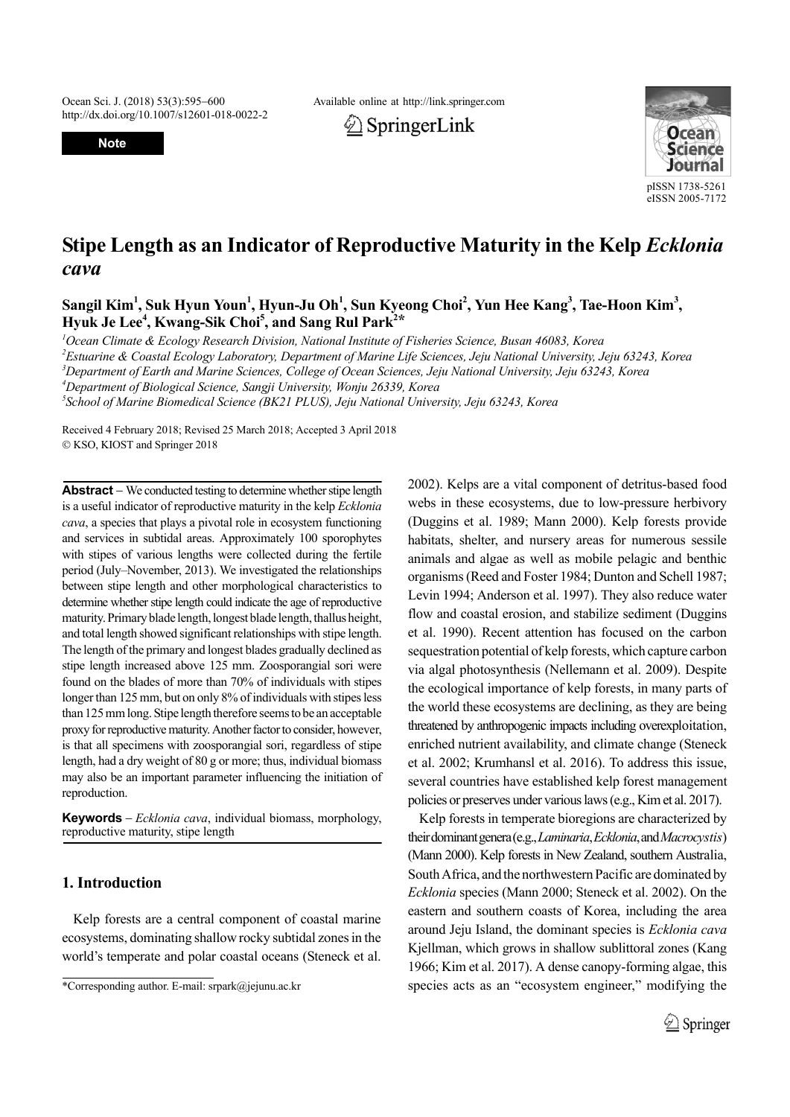http://dx.doi.org/10.1007/s12601-018-0022-2

**Note**

Ocean Sci. J. (2018) 53(3):595–600 Available online at http://link.springer.com





# **Stipe Length as an Indicator of Reproductive Maturity in the Kelp** *Ecklonia cava*

Sangil Kim<sup>1</sup>, Suk Hyun Youn<sup>1</sup>, Hyun-Ju Oh<sup>1</sup>, Sun Kyeong Choi<sup>2</sup>, Yun Hee Kang<sup>3</sup>, Tae-Hoon Kim<sup>3</sup>, Hyuk Je Lee<sup>4</sup>, Kwang-Sik Choi<sup>5</sup>, and Sang Rul Park<sup>2\*</sup>

*1 Ocean Climate & Ecology Research Division, National Institute of Fisheries Science, Busan 46083, Korea*

*2 Estuarine & Coastal Ecology Laboratory, Department of Marine Life Sciences, Jeju National University, Jeju 63243, Korea*

*3 Department of Earth and Marine Sciences, College of Ocean Sciences, Jeju National University, Jeju 63243, Korea*

*4 Department of Biological Science, Sangji University, Wonju 26339, Korea*

*5 School of Marine Biomedical Science (BK21 PLUS), Jeju National University, Jeju 63243, Korea*

Received 4 February 2018; Revised 25 March 2018; Accepted 3 April 2018 KSO, KIOST and Springer 2018

**Abstract** – We conducted testing to determine whether stipe length is a useful indicator of reproductive maturity in the kelp *Ecklonia cava*, a species that plays a pivotal role in ecosystem functioning and services in subtidal areas. Approximately 100 sporophytes with stipes of various lengths were collected during the fertile period (July–November, 2013). We investigated the relationships between stipe length and other morphological characteristics to determine whether stipe length could indicate the age of reproductive maturity. Primary blade length, longest blade length, thallus height, and total length showed significant relationships with stipe length. The length of the primary and longest blades gradually declined as stipe length increased above 125 mm. Zoosporangial sori were found on the blades of more than 70% of individuals with stipes longer than 125 mm, but on only 8% of individuals with stipes less than 125 mm long. Stipe length therefore seems to be an acceptable proxy for reproductive maturity. Another factor to consider, however, is that all specimens with zoosporangial sori, regardless of stipe length, had a dry weight of 80 g or more; thus, individual biomass may also be an important parameter influencing the initiation of reproduction.

**Keywords** *Ecklonia cava*, individual biomass, morphology, reproductive maturity, stipe length

## **1. Introduction**

Kelp forests are a central component of coastal marine ecosystems, dominating shallow rocky subtidal zones in the world's temperate and polar coastal oceans (Steneck et al.

2002). Kelps are a vital component of detritus-based food webs in these ecosystems, due to low-pressure herbivory (Duggins et al. 1989; Mann 2000). Kelp forests provide habitats, shelter, and nursery areas for numerous sessile animals and algae as well as mobile pelagic and benthic organisms (Reed and Foster 1984; Dunton and Schell 1987; Levin 1994; Anderson et al. 1997). They also reduce water flow and coastal erosion, and stabilize sediment (Duggins et al. 1990). Recent attention has focused on the carbon sequestration potential of kelp forests, which capture carbon via algal photosynthesis (Nellemann et al. 2009). Despite the ecological importance of kelp forests, in many parts of the world these ecosystems are declining, as they are being threatened by anthropogenic impacts including overexploitation, enriched nutrient availability, and climate change (Steneck et al. 2002; Krumhansl et al. 2016). To address this issue, several countries have established kelp forest management policies or preserves under various laws (e.g., Kim et al. 2017).

Kelp forests in temperate bioregions are characterized by their dominant genera (e.g., *Laminaria*, *Ecklonia*, and *Macrocystis*) (Mann 2000). Kelp forests in New Zealand, southern Australia, South Africa, and the northwestern Pacific are dominated by *Ecklonia* species (Mann 2000; Steneck et al. 2002). On the eastern and southern coasts of Korea, including the area around Jeju Island, the dominant species is *Ecklonia cava* Kjellman, which grows in shallow sublittoral zones (Kang 1966; Kim et al. 2017). A dense canopy-forming algae, this \*Corresponding author. E-mail: srpark@jejunu.ac.kr species acts as an "ecosystem engineer," modifying the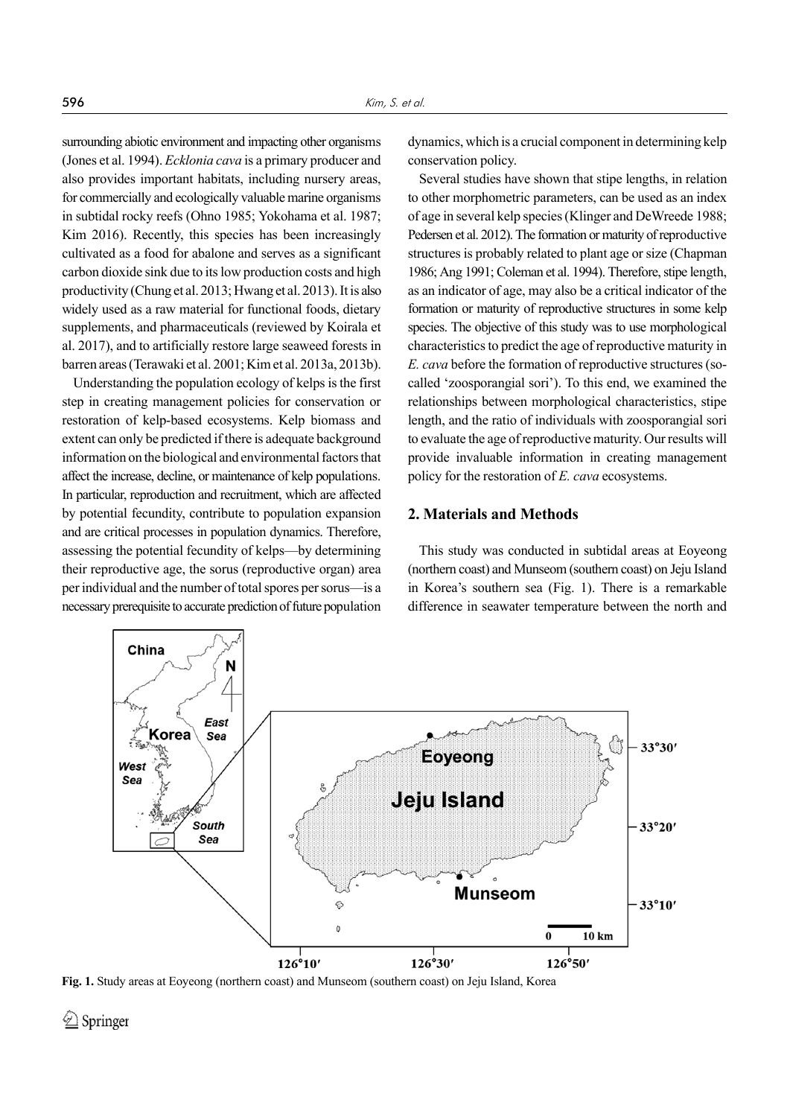surrounding abiotic environment and impacting other organisms (Jones et al. 1994). *Ecklonia cava* is a primary producer and also provides important habitats, including nursery areas, for commercially and ecologically valuable marine organisms in subtidal rocky reefs (Ohno 1985; Yokohama et al. 1987; Kim 2016). Recently, this species has been increasingly cultivated as a food for abalone and serves as a significant carbon dioxide sink due to its low production costs and high productivity (Chung et al. 2013; Hwang et al. 2013). It is also widely used as a raw material for functional foods, dietary supplements, and pharmaceuticals (reviewed by Koirala et al. 2017), and to artificially restore large seaweed forests in barren areas (Terawaki et al. 2001; Kim et al. 2013a, 2013b).

Understanding the population ecology of kelps is the first step in creating management policies for conservation or restoration of kelp-based ecosystems. Kelp biomass and extent can only be predicted if there is adequate background information on the biological and environmental factors that affect the increase, decline, or maintenance of kelp populations. In particular, reproduction and recruitment, which are affected by potential fecundity, contribute to population expansion and are critical processes in population dynamics. Therefore, assessing the potential fecundity of kelps—by determining their reproductive age, the sorus (reproductive organ) area per individual and the number of total spores per sorus—is a necessary prerequisite to accurate prediction of future population dynamics, which is a crucial component in determining kelp conservation policy.

Several studies have shown that stipe lengths, in relation to other morphometric parameters, can be used as an index of age in several kelp species (Klinger and DeWreede 1988; Pedersen et al. 2012). The formation or maturity of reproductive structures is probably related to plant age or size (Chapman 1986; Ang 1991; Coleman et al. 1994). Therefore, stipe length, as an indicator of age, may also be a critical indicator of the formation or maturity of reproductive structures in some kelp species. The objective of this study was to use morphological characteristics to predict the age of reproductive maturity in *E. cava* before the formation of reproductive structures (socalled 'zoosporangial sori'). To this end, we examined the relationships between morphological characteristics, stipe length, and the ratio of individuals with zoosporangial sori to evaluate the age of reproductive maturity. Our results will provide invaluable information in creating management policy for the restoration of *E. cava* ecosystems.

### **2. Materials and Methods**

This study was conducted in subtidal areas at Eoyeong (northern coast) and Munseom (southern coast) on Jeju Island in Korea's southern sea (Fig. 1). There is a remarkable difference in seawater temperature between the north and



**Fig. 1.** Study areas at Eoyeong (northern coast) and Munseom (southern coast) on Jeju Island, Korea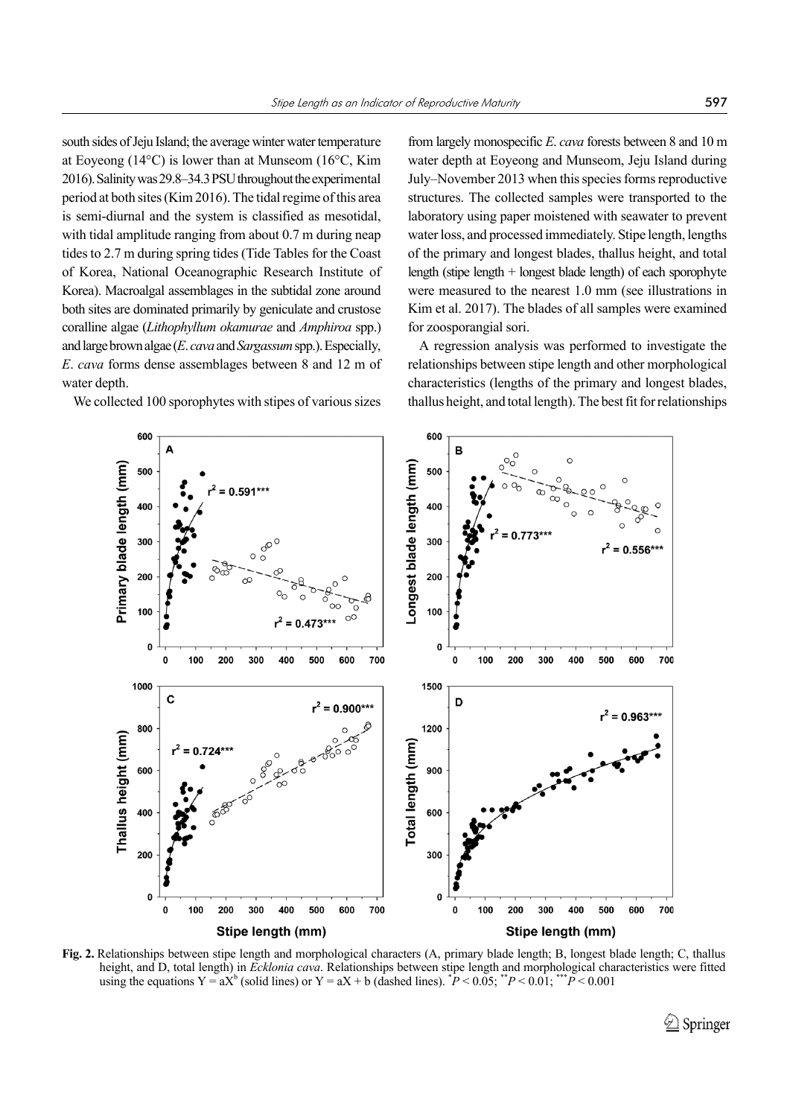south sides of Jeju Island; the average winter water temperature at Eoyeong (14°C) is lower than at Munseom (16°C, Kim 2016). Salinity was 29.8–34.3 PSU throughout the experimental period at both sites (Kim 2016). The tidal regime of this area is semi-diurnal and the system is classified as mesotidal, with tidal amplitude ranging from about 0.7 m during neap tides to 2.7 m during spring tides (Tide Tables for the Coast of Korea, National Oceanographic Research Institute of Korea). Macroalgal assemblages in the subtidal zone around both sites are dominated primarily by geniculate and crustose coralline algae (*Lithophyllum okamurae* and *Amphiroa* spp.) and large brown algae (*E*. *cava* and *Sargassum* spp.). Especially, *E*. *cava* forms dense assemblages between 8 and 12 m of water depth.

We collected 100 sporophytes with stipes of various sizes

from largely monospecific *E*. *cava* forests between 8 and 10 m water depth at Eoyeong and Munseom, Jeju Island during July–November 2013 when this species forms reproductive structures. The collected samples were transported to the laboratory using paper moistened with seawater to prevent water loss, and processed immediately. Stipe length, lengths of the primary and longest blades, thallus height, and total length (stipe length + longest blade length) of each sporophyte were measured to the nearest 1.0 mm (see illustrations in Kim et al. 2017). The blades of all samples were examined for zoosporangial sori.

A regression analysis was performed to investigate the relationships between stipe length and other morphological characteristics (lengths of the primary and longest blades, thallus height, and total length). The best fit for relationships



**Fig. 2.** Relationships between stipe length and morphological characters (A, primary blade length; B, longest blade length; C, thallus height, and D, total length) in *Ecklonia cava*. Relationships between stipe length and morphological characteristics were fitted using the equations  $Y = aX^b$  (solid lines) or  $Y = aX + b$  (dashed lines).  ${}^*P < 0.05$ ;  ${}^{**}P < 0.01$ ;  ${}^{***}P < 0.001$ 

 $\hat{Z}$  Springer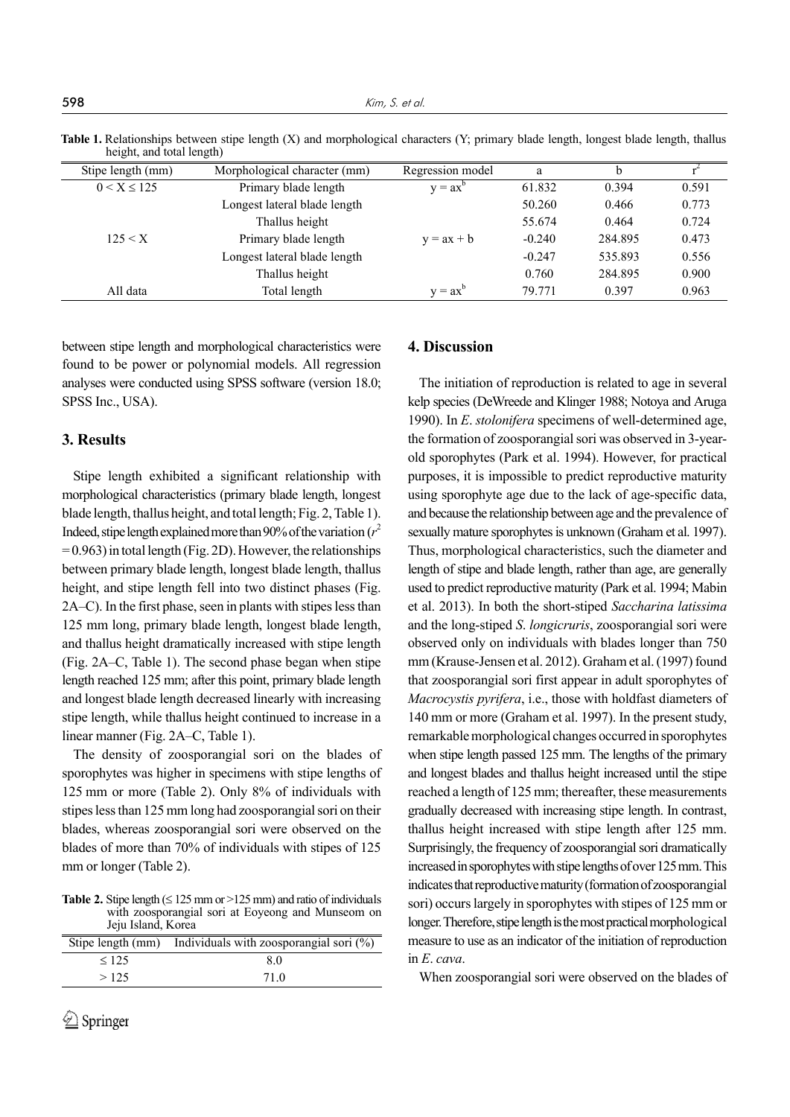**598** Kim, S. et al.

**Table 1.** Relationships between stipe length (X) and morphological characters (Y; primary blade length, longest blade length, thallus height, and total length)

| Stipe length (mm) | Morphological character (mm) | Regression model | a        |         |       |
|-------------------|------------------------------|------------------|----------|---------|-------|
| $0 < X \le 125$   | Primary blade length         | $y = ax^t$       | 61.832   | 0.394   | 0.591 |
|                   | Longest lateral blade length |                  | 50.260   | 0.466   | 0.773 |
|                   | Thallus height               |                  | 55.674   | 0.464   | 0.724 |
| 125 < X           | Primary blade length         | $y = ax + b$     | $-0.240$ | 284.895 | 0.473 |
|                   | Longest lateral blade length |                  | $-0.247$ | 535.893 | 0.556 |
|                   | Thallus height               |                  | 0.760    | 284.895 | 0.900 |
| All data          | Total length                 | $v = ax^{\circ}$ | 79.771   | 0.397   | 0.963 |

between stipe length and morphological characteristics were found to be power or polynomial models. All regression analyses were conducted using SPSS software (version 18.0; SPSS Inc., USA).

#### **3. Results**

Stipe length exhibited a significant relationship with morphological characteristics (primary blade length, longest blade length, thallus height, and total length; Fig. 2, Table 1). Indeed, stipe length explained more than 90% of the variation  $(r^2)$  $= 0.963$ ) in total length (Fig. 2D). However, the relationships between primary blade length, longest blade length, thallus height, and stipe length fell into two distinct phases (Fig. 2A–C). In the first phase, seen in plants with stipes less than 125 mm long, primary blade length, longest blade length, and thallus height dramatically increased with stipe length (Fig. 2A–C, Table 1). The second phase began when stipe length reached 125 mm; after this point, primary blade length and longest blade length decreased linearly with increasing stipe length, while thallus height continued to increase in a linear manner (Fig. 2A–C, Table 1).

The density of zoosporangial sori on the blades of sporophytes was higher in specimens with stipe lengths of 125 mm or more (Table 2). Only 8% of individuals with stipes less than 125 mm long had zoosporangial sori on their blades, whereas zoosporangial sori were observed on the blades of more than 70% of individuals with stipes of 125 mm or longer (Table 2).

**Table 2.** Stipe length  $( \leq 125 \text{ mm}) \text{ or } >125 \text{ mm})$  and ratio of individuals with zoosporangial sori at Eoyeong and Munseom on Jeju Island, Korea

| Stipe length (mm) | Individuals with zoosporangial sori $(\%)$ |  |  |
|-------------------|--------------------------------------------|--|--|
| $\leq$ 125        | 80                                         |  |  |
| >12.5             | 71 Q                                       |  |  |

## **4. Discussion**

The initiation of reproduction is related to age in several kelp species (DeWreede and Klinger 1988; Notoya and Aruga 1990). In *E*. *stolonifera* specimens of well-determined age, the formation of zoosporangial sori was observed in 3-yearold sporophytes (Park et al. 1994). However, for practical purposes, it is impossible to predict reproductive maturity using sporophyte age due to the lack of age-specific data, and because the relationship between age and the prevalence of sexually mature sporophytes is unknown (Graham et al. 1997). Thus, morphological characteristics, such the diameter and length of stipe and blade length, rather than age, are generally used to predict reproductive maturity (Park et al. 1994; Mabin et al. 2013). In both the short-stiped *Saccharina latissima* and the long-stiped *S*. *longicruris*, zoosporangial sori were observed only on individuals with blades longer than 750 mm (Krause-Jensen et al. 2012). Graham et al. (1997) found that zoosporangial sori first appear in adult sporophytes of *Macrocystis pyrifera*, i.e., those with holdfast diameters of 140 mm or more (Graham et al. 1997). In the present study, remarkable morphological changes occurred in sporophytes when stipe length passed 125 mm. The lengths of the primary and longest blades and thallus height increased until the stipe reached a length of 125 mm; thereafter, these measurements gradually decreased with increasing stipe length. In contrast, thallus height increased with stipe length after 125 mm. Surprisingly, the frequency of zoosporangial sori dramatically increased in sporophytes with stipe lengths of over 125 mm. This indicates that reproductive maturity (formation of zoosporangial sori) occurs largely in sporophytes with stipes of 125 mm or longer. Therefore, stipe length is the most practical morphological measure to use as an indicator of the initiation of reproduction in *E*. *cava*.

When zoosporangial sori were observed on the blades of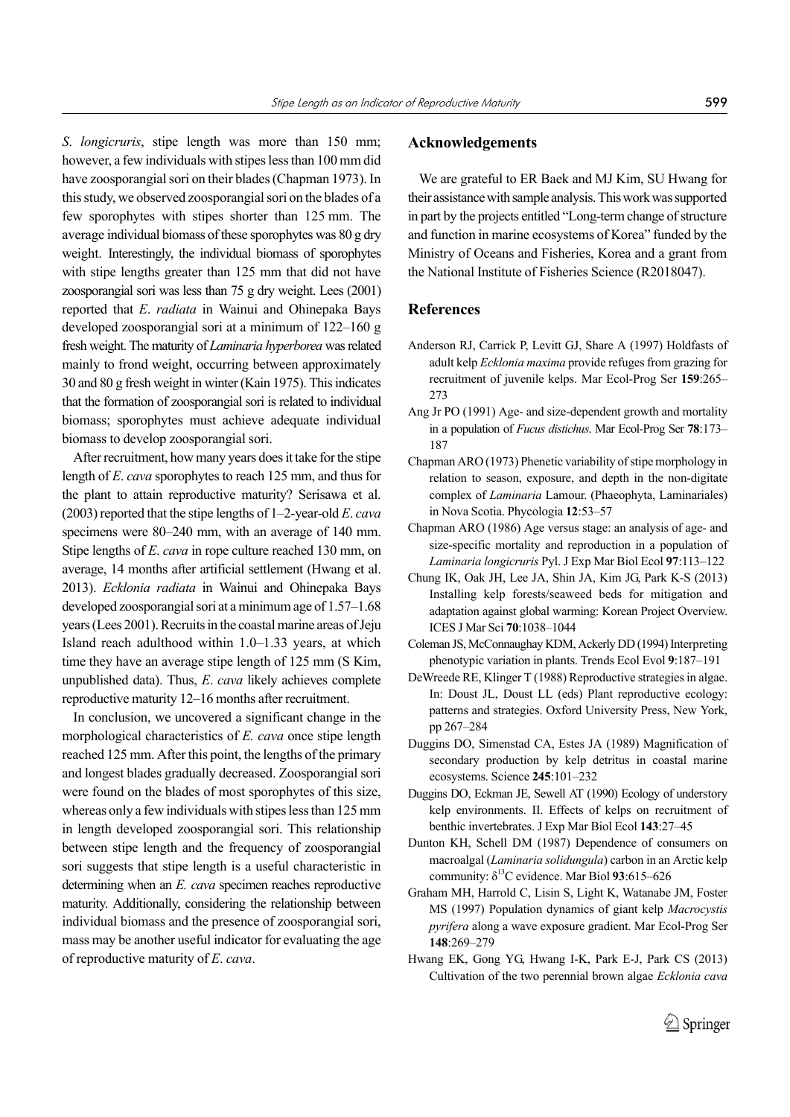*S*. *longicruris*, stipe length was more than 150 mm; however, a few individuals with stipes less than 100 mm did have zoosporangial sori on their blades (Chapman 1973). In this study, we observed zoosporangial sori on the blades of a few sporophytes with stipes shorter than 125 mm. The average individual biomass of these sporophytes was 80 g dry weight. Interestingly, the individual biomass of sporophytes with stipe lengths greater than 125 mm that did not have zoosporangial sori was less than 75 g dry weight. Lees (2001) reported that *E*. *radiata* in Wainui and Ohinepaka Bays developed zoosporangial sori at a minimum of 122–160 g fresh weight. The maturity of *Laminaria hyperborea* was related mainly to frond weight, occurring between approximately 30 and 80 g fresh weight in winter (Kain 1975). This indicates that the formation of zoosporangial sori is related to individual biomass; sporophytes must achieve adequate individual biomass to develop zoosporangial sori.

After recruitment, how many years does it take for the stipe length of *E*. *cava* sporophytes to reach 125 mm, and thus for the plant to attain reproductive maturity? Serisawa et al. (2003) reported that the stipe lengths of 1–2-year-old *E*. *cava* specimens were 80–240 mm, with an average of 140 mm. Stipe lengths of *E*. *cava* in rope culture reached 130 mm, on average, 14 months after artificial settlement (Hwang et al. 2013). *Ecklonia radiata* in Wainui and Ohinepaka Bays developed zoosporangial sori at a minimum age of 1.57–1.68 years (Lees 2001). Recruits in the coastal marine areas of Jeju Island reach adulthood within 1.0–1.33 years, at which time they have an average stipe length of 125 mm (S Kim, unpublished data). Thus, *E*. *cava* likely achieves complete reproductive maturity 12–16 months after recruitment.

In conclusion, we uncovered a significant change in the morphological characteristics of *E. cava* once stipe length reached 125 mm. After this point, the lengths of the primary and longest blades gradually decreased. Zoosporangial sori were found on the blades of most sporophytes of this size, whereas only a few individuals with stipes less than 125 mm in length developed zoosporangial sori. This relationship between stipe length and the frequency of zoosporangial sori suggests that stipe length is a useful characteristic in determining when an *E. cava* specimen reaches reproductive maturity. Additionally, considering the relationship between individual biomass and the presence of zoosporangial sori, mass may be another useful indicator for evaluating the age of reproductive maturity of *E*. *cava*.

#### **Acknowledgements**

We are grateful to ER Baek and MJ Kim, SU Hwang for their assistance with sample analysis. This work was supported in part by the projects entitled "Long-term change of structure and function in marine ecosystems of Korea" funded by the Ministry of Oceans and Fisheries, Korea and a grant from the National Institute of Fisheries Science (R2018047).

#### **References**

- Anderson RJ, Carrick P, Levitt GJ, Share A (1997) Holdfasts of adult kelp *Ecklonia maxima* provide refuges from grazing for recruitment of juvenile kelps. Mar Ecol-Prog Ser **159**:265– 273
- Ang Jr PO (1991) Age- and size-dependent growth and mortality in a population of *Fucus distichus*. Mar Ecol-Prog Ser **78**:173– 187
- Chapman ARO (1973) Phenetic variability of stipe morphology in relation to season, exposure, and depth in the non-digitate complex of *Laminaria* Lamour. (Phaeophyta, Laminariales) in Nova Scotia. Phycologia **12**:53–57
- Chapman ARO (1986) Age versus stage: an analysis of age- and size-specific mortality and reproduction in a population of *Laminaria longicruris* Pyl. J Exp Mar Biol Ecol **97**:113–122
- Chung IK, Oak JH, Lee JA, Shin JA, Kim JG, Park K-S (2013) Installing kelp forests/seaweed beds for mitigation and adaptation against global warming: Korean Project Overview. ICES J Mar Sci **70**:1038‒1044
- Coleman JS, McConnaughay KDM, Ackerly DD (1994) Interpreting phenotypic variation in plants. Trends Ecol Evol **9**:187–191
- DeWreede RE, Klinger T (1988) Reproductive strategies in algae. In: Doust JL, Doust LL (eds) Plant reproductive ecology: patterns and strategies. Oxford University Press, New York, pp 267–284
- Duggins DO, Simenstad CA, Estes JA (1989) Magnification of secondary production by kelp detritus in coastal marine ecosystems. Science **245**:101–232
- Duggins DO, Eckman JE, Sewell AT (1990) Ecology of understory kelp environments. II. Effects of kelps on recruitment of benthic invertebrates. J Exp Mar Biol Ecol **143**:27–45
- Dunton KH, Schell DM (1987) Dependence of consumers on macroalgal (*Laminaria solidungula*) carbon in an Arctic kelp community:  $\delta^{13}$ C evidence. Mar Biol 93:615–626
- Graham MH, Harrold C, Lisin S, Light K, Watanabe JM, Foster MS (1997) Population dynamics of giant kelp *Macrocystis pyrifera* along a wave exposure gradient. Mar Ecol-Prog Ser **148**:269–279
- Hwang EK, Gong YG, Hwang I-K, Park E-J, Park CS (2013) Cultivation of the two perennial brown algae *Ecklonia cava*